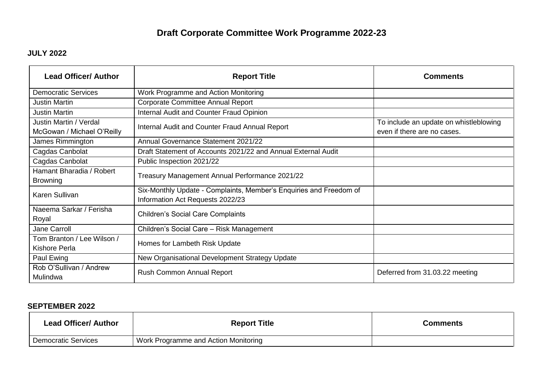# **Draft Corporate Committee Work Programme 2022-23**

## **JULY 2022**

| <b>Lead Officer/ Author</b>                          | <b>Report Title</b>                                                                                    | Comments                                                              |
|------------------------------------------------------|--------------------------------------------------------------------------------------------------------|-----------------------------------------------------------------------|
| <b>Democratic Services</b>                           | Work Programme and Action Monitoring                                                                   |                                                                       |
| <b>Justin Martin</b>                                 | <b>Corporate Committee Annual Report</b>                                                               |                                                                       |
| <b>Justin Martin</b>                                 | Internal Audit and Counter Fraud Opinion                                                               |                                                                       |
| Justin Martin / Verdal<br>McGowan / Michael O'Reilly | Internal Audit and Counter Fraud Annual Report                                                         | To include an update on whistleblowing<br>even if there are no cases. |
| James Rimmington                                     | Annual Governance Statement 2021/22                                                                    |                                                                       |
| Cagdas Canbolat                                      | Draft Statement of Accounts 2021/22 and Annual External Audit                                          |                                                                       |
| Cagdas Canbolat                                      | Public Inspection 2021/22                                                                              |                                                                       |
| Hamant Bharadia / Robert<br><b>Browning</b>          | Treasury Management Annual Performance 2021/22                                                         |                                                                       |
| Karen Sullivan                                       | Six-Monthly Update - Complaints, Member's Enquiries and Freedom of<br>Information Act Requests 2022/23 |                                                                       |
| Naeema Sarkar / Ferisha<br>Royal                     | <b>Children's Social Care Complaints</b>                                                               |                                                                       |
| Jane Carroll                                         | Children's Social Care - Risk Management                                                               |                                                                       |
| Tom Branton / Lee Wilson /<br>Kishore Perla          | Homes for Lambeth Risk Update                                                                          |                                                                       |
| Paul Ewing                                           | New Organisational Development Strategy Update                                                         |                                                                       |
| Rob O'Sullivan / Andrew<br>Mulindwa                  | Rush Common Annual Report                                                                              | Deferred from 31.03.22 meeting                                        |

#### **SEPTEMBER 2022**

| <b>Lead Officer/ Author</b> | <b>Report Title</b>                  | <b>Comments</b> |
|-----------------------------|--------------------------------------|-----------------|
| <b>Democratic Services</b>  | Work Programme and Action Monitoring |                 |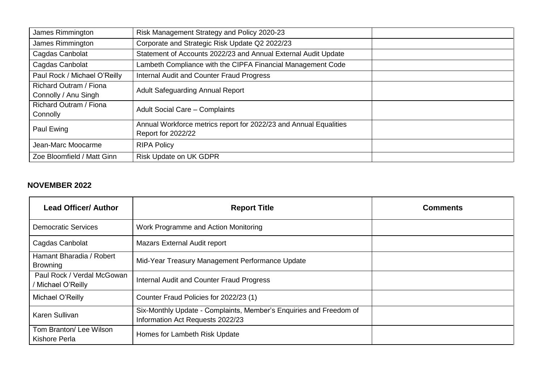| James Rimmington              | Risk Management Strategy and Policy 2020-23                       |
|-------------------------------|-------------------------------------------------------------------|
| James Rimmington              | Corporate and Strategic Risk Update Q2 2022/23                    |
| Cagdas Canbolat               | Statement of Accounts 2022/23 and Annual External Audit Update    |
| Cagdas Canbolat               | Lambeth Compliance with the CIPFA Financial Management Code       |
| Paul Rock / Michael O'Reilly  | Internal Audit and Counter Fraud Progress                         |
| Richard Outram / Fiona        | <b>Adult Safeguarding Annual Report</b>                           |
| Connolly / Anu Singh          |                                                                   |
| <b>Richard Outram / Fiona</b> | Adult Social Care - Complaints                                    |
| Connolly                      |                                                                   |
| Paul Ewing                    | Annual Workforce metrics report for 2022/23 and Annual Equalities |
|                               | <b>Report for 2022/22</b>                                         |
| Jean-Marc Moocarme            | <b>RIPA Policy</b>                                                |
| Zoe Bloomfield / Matt Ginn    | <b>Risk Update on UK GDPR</b>                                     |

#### **NOVEMBER 2022**

| <b>Lead Officer/ Author</b>                      | <b>Report Title</b>                                                                                    | <b>Comments</b> |
|--------------------------------------------------|--------------------------------------------------------------------------------------------------------|-----------------|
| <b>Democratic Services</b>                       | Work Programme and Action Monitoring                                                                   |                 |
| Cagdas Canbolat                                  | <b>Mazars External Audit report</b>                                                                    |                 |
| Hamant Bharadia / Robert<br><b>Browning</b>      | Mid-Year Treasury Management Performance Update                                                        |                 |
| Paul Rock / Verdal McGowan<br>/ Michael O'Reilly | Internal Audit and Counter Fraud Progress                                                              |                 |
| Michael O'Reilly                                 | Counter Fraud Policies for 2022/23 (1)                                                                 |                 |
| Karen Sullivan                                   | Six-Monthly Update - Complaints, Member's Enquiries and Freedom of<br>Information Act Requests 2022/23 |                 |
| Tom Branton/ Lee Wilson<br><b>Kishore Perla</b>  | Homes for Lambeth Risk Update                                                                          |                 |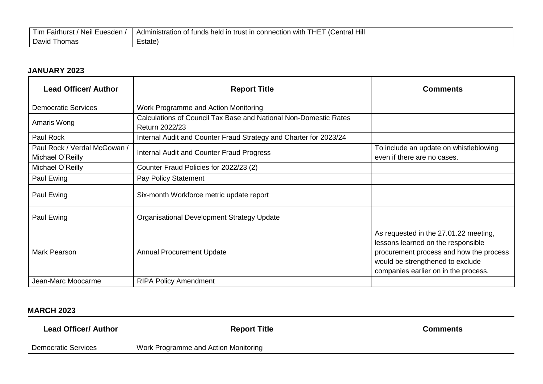| .<br>. Euesden<br>1 im<br>Fairhurst<br><b>Neil</b> | (Central Hill<br>− 1∩<br>THE.<br>, with<br>Administration<br>i of funds held in<br>connection<br>trust |  |
|----------------------------------------------------|--------------------------------------------------------------------------------------------------------|--|
| David<br>ˈhomas                                    | ∠state)                                                                                                |  |

## **JANUARY 2023**

| <b>Lead Officer/ Author</b>                      | <b>Report Title</b>                                                                | <b>Comments</b>                                                                                                                                                                                    |
|--------------------------------------------------|------------------------------------------------------------------------------------|----------------------------------------------------------------------------------------------------------------------------------------------------------------------------------------------------|
| <b>Democratic Services</b>                       | Work Programme and Action Monitoring                                               |                                                                                                                                                                                                    |
| Amaris Wong                                      | Calculations of Council Tax Base and National Non-Domestic Rates<br>Return 2022/23 |                                                                                                                                                                                                    |
| Paul Rock                                        | Internal Audit and Counter Fraud Strategy and Charter for 2023/24                  |                                                                                                                                                                                                    |
| Paul Rock / Verdal McGowan /<br>Michael O'Reilly | Internal Audit and Counter Fraud Progress                                          | To include an update on whistleblowing<br>even if there are no cases.                                                                                                                              |
| Michael O'Reilly                                 | Counter Fraud Policies for 2022/23 (2)                                             |                                                                                                                                                                                                    |
| Paul Ewing                                       | Pay Policy Statement                                                               |                                                                                                                                                                                                    |
| Paul Ewing                                       | Six-month Workforce metric update report                                           |                                                                                                                                                                                                    |
| Paul Ewing                                       | <b>Organisational Development Strategy Update</b>                                  |                                                                                                                                                                                                    |
| Mark Pearson                                     | <b>Annual Procurement Update</b>                                                   | As requested in the 27.01.22 meeting,<br>lessons learned on the responsible<br>procurement process and how the process<br>would be strengthened to exclude<br>companies earlier on in the process. |
| Jean-Marc Moocarme                               | <b>RIPA Policy Amendment</b>                                                       |                                                                                                                                                                                                    |

# **MARCH 2023**

| <b>Lead Officer/ Author</b> | <b>Report Title</b>                  | Comments |
|-----------------------------|--------------------------------------|----------|
| <b>Democratic Services</b>  | Work Programme and Action Monitoring |          |